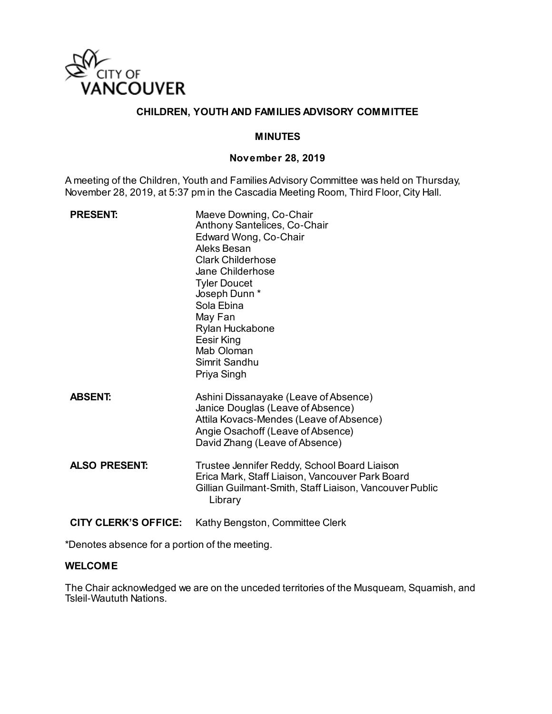

## **CHILDREN, YOUTH AND FAMILIES ADVISORY COMMITTEE**

### **MINUTES**

#### **November 28, 2019**

A meeting of the Children, Youth and Families Advisory Committee was held on Thursday, November 28, 2019, at 5:37 pm in the Cascadia Meeting Room, Third Floor, City Hall.

| <b>PRESENT:</b>      | Maeve Downing, Co-Chair<br>Anthony Santelices, Co-Chair<br>Edward Wong, Co-Chair<br>Aleks Besan<br><b>Clark Childerhose</b><br>Jane Childerhose<br><b>Tyler Doucet</b><br>Joseph Dunn *<br>Sola Ebina<br>May Fan<br>Rylan Huckabone<br>Eesir King<br>Mab Oloman<br>Simrit Sandhu<br>Priya Singh |
|----------------------|-------------------------------------------------------------------------------------------------------------------------------------------------------------------------------------------------------------------------------------------------------------------------------------------------|
| <b>ABSENT:</b>       | Ashini Dissanayake (Leave of Absence)<br>Janice Douglas (Leave of Absence)<br>Attila Kovacs-Mendes (Leave of Absence)<br>Angie Osachoff (Leave of Absence)<br>David Zhang (Leave of Absence)                                                                                                    |
| <b>ALSO PRESENT:</b> | Trustee Jennifer Reddy, School Board Liaison<br>Erica Mark, Staff Liaison, Vancouver Park Board<br>Gillian Guilmant-Smith, Staff Liaison, Vancouver Public<br>Library                                                                                                                           |
| CITY CLERK'S OFFICE: | Kathy Bengston, Committee Clerk                                                                                                                                                                                                                                                                 |

\*Denotes absence for a portion of the meeting.

#### **WELCOME**

The Chair acknowledged we are on the unceded territories of the Musqueam, Squamish, and Tsleil-Waututh Nations.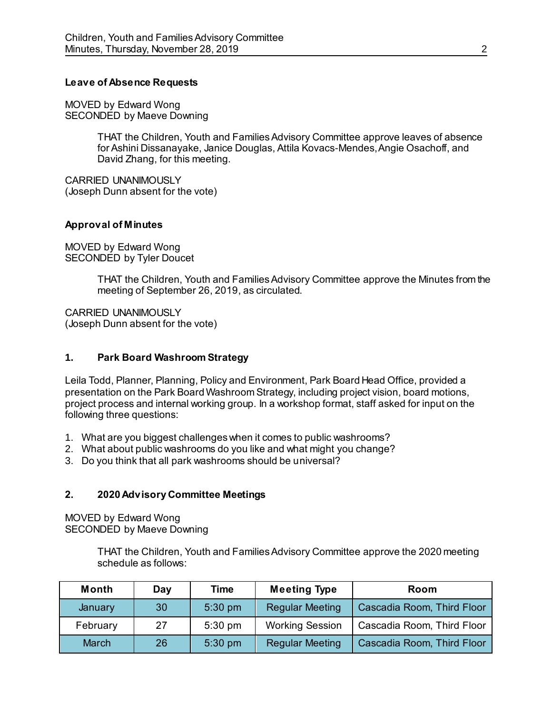### **Leave of Absence Requests**

MOVED by Edward Wong SECONDED by Maeve Downing

> THAT the Children, Youth and Families Advisory Committee approve leaves of absence for Ashini Dissanayake, Janice Douglas, Attila Kovacs-Mendes, Angie Osachoff, and David Zhang, for this meeting.

CARRIED UNANIMOUSLY (Joseph Dunn absent for the vote)

#### **Approval of Minutes**

MOVED by Edward Wong SECONDED by Tyler Doucet

> THAT the Children, Youth and Families Advisory Committee approve the Minutes from the meeting of September 26, 2019, as circulated.

CARRIED UNANIMOUSLY (Joseph Dunn absent for the vote)

### **1. Park Board Washroom Strategy**

Leila Todd, Planner, Planning, Policy and Environment, Park Board Head Office, provided a presentation on the Park Board Washroom Strategy, including project vision, board motions, project process and internal working group. In a workshop format, staff asked for input on the following three questions:

- 1. What are you biggest challenges when it comes to public washrooms?
- 2. What about public washrooms do you like and what might you change?
- 3. Do you think that all park washrooms should be universal?

### **2. 2020 Advisory Committee Meetings**

MOVED by Edward Wong SECONDED by Maeve Downing

> THAT the Children, Youth and Families Advisory Committee approve the 2020 meeting schedule as follows:

| Month    | Day | Time      | <b>Meeting Type</b>    | Room                       |
|----------|-----|-----------|------------------------|----------------------------|
| January  | 30  | $5:30$ pm | <b>Regular Meeting</b> | Cascadia Room, Third Floor |
| February | 27  | $5:30$ pm | <b>Working Session</b> | Cascadia Room, Third Floor |
| March    | 26  | $5:30$ pm | <b>Regular Meeting</b> | Cascadia Room, Third Floor |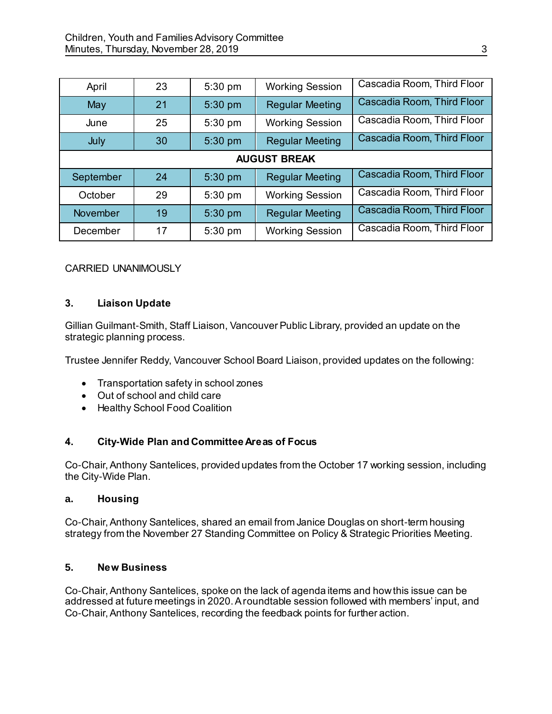| April               | 23 | 5:30 pm | <b>Working Session</b> | Cascadia Room, Third Floor |
|---------------------|----|---------|------------------------|----------------------------|
| May                 | 21 | 5:30 pm | <b>Regular Meeting</b> | Cascadia Room, Third Floor |
| June                | 25 | 5:30 pm | <b>Working Session</b> | Cascadia Room, Third Floor |
| July                | 30 | 5:30 pm | <b>Regular Meeting</b> | Cascadia Room, Third Floor |
| <b>AUGUST BREAK</b> |    |         |                        |                            |
| September           | 24 | 5:30 pm | <b>Regular Meeting</b> | Cascadia Room, Third Floor |
| October             | 29 | 5:30 pm | <b>Working Session</b> | Cascadia Room, Third Floor |
| November            | 19 | 5:30 pm | <b>Regular Meeting</b> | Cascadia Room, Third Floor |
| December            | 17 | 5:30 pm | <b>Working Session</b> | Cascadia Room, Third Floor |

## CARRIED UNANIMOUSLY

### **3. Liaison Update**

Gillian Guilmant-Smith, Staff Liaison, Vancouver Public Library, provided an update on the strategic planning process.

Trustee Jennifer Reddy, Vancouver School Board Liaison, provided updates on the following:

- Transportation safety in school zones
- Out of school and child care
- Healthy School Food Coalition

# **4. City-Wide Plan and Committee Areas of Focus**

Co-Chair, Anthony Santelices, provided updates from the October 17 working session, including the City-Wide Plan.

### **a. Housing**

Co-Chair, Anthony Santelices, shared an email from Janice Douglas on short-term housing strategy from the November 27 Standing Committee on Policy & Strategic Priorities Meeting.

# **5. New Business**

Co-Chair, Anthony Santelices, spoke on the lack of agenda items and how this issue can be addressed at future meetings in 2020. A roundtable session followed with members' input, and Co-Chair, Anthony Santelices, recording the feedback points for further action.